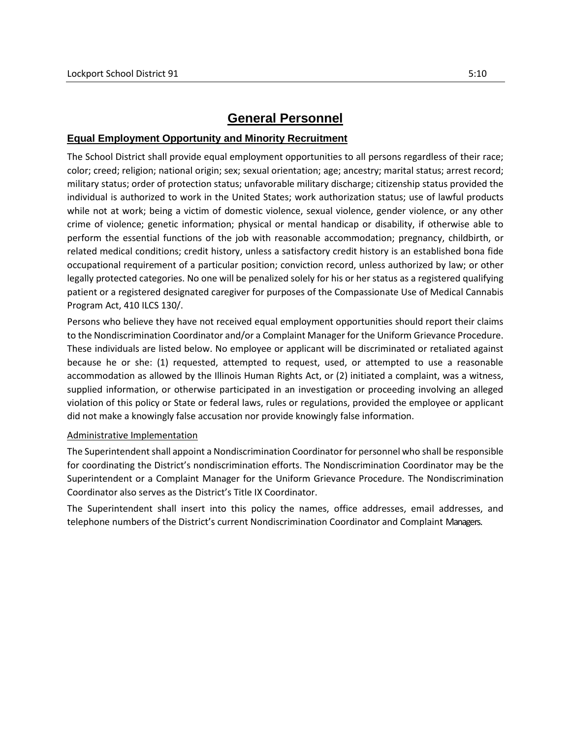# **General Personnel**

## **Equal Employment Opportunity and Minority Recruitment**

The School District shall provide equal employment opportunities to all persons regardless of their race; color; creed; religion; national origin; sex; sexual orientation; age; ancestry; marital status; arrest record; military status; order of protection status; unfavorable military discharge; citizenship status provided the individual is authorized to work in the United States; work authorization status; use of lawful products while not at work; being a victim of domestic violence, sexual violence, gender violence, or any other crime of violence; genetic information; physical or mental handicap or disability, if otherwise able to perform the essential functions of the job with reasonable accommodation; pregnancy, childbirth, or related medical conditions; credit history, unless a satisfactory credit history is an established bona fide occupational requirement of a particular position; conviction record, unless authorized by law; or other legally protected categories. No one will be penalized solely for his or her status as a registered qualifying patient or a registered designated caregiver for purposes of the Compassionate Use of Medical Cannabis Program Act, 410 ILCS 130/.

Persons who believe they have not received equal employment opportunities should report their claims to the Nondiscrimination Coordinator and/or a Complaint Manager for the Uniform Grievance Procedure. These individuals are listed below. No employee or applicant will be discriminated or retaliated against because he or she: (1) requested, attempted to request, used, or attempted to use a reasonable accommodation as allowed by the Illinois Human Rights Act, or (2) initiated a complaint, was a witness, supplied information, or otherwise participated in an investigation or proceeding involving an alleged violation of this policy or State or federal laws, rules or regulations, provided the employee or applicant did not make a knowingly false accusation nor provide knowingly false information.

## Administrative Implementation

The Superintendent shall appoint a Nondiscrimination Coordinator for personnel who shall be responsible for coordinating the District's nondiscrimination efforts. The Nondiscrimination Coordinator may be the Superintendent or a Complaint Manager for the Uniform Grievance Procedure. The Nondiscrimination Coordinator also serves as the District's Title IX Coordinator.

The Superintendent shall insert into this policy the names, office addresses, email addresses, and telephone numbers of the District's current Nondiscrimination Coordinator and Complaint Managers.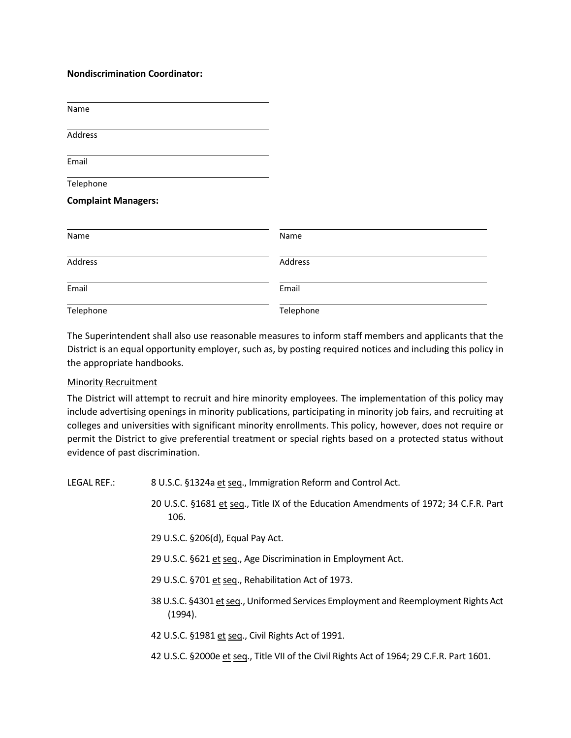### **Nondiscrimination Coordinator:**

| Name                       |      |
|----------------------------|------|
| Address                    |      |
| Email                      |      |
| Telephone                  |      |
| <b>Complaint Managers:</b> |      |
| Name                       | Name |
|                            |      |

| Name      | Name      |  |
|-----------|-----------|--|
| Address   | Address   |  |
| Email     | Email     |  |
| Telephone | Telephone |  |

The Superintendent shall also use reasonable measures to inform staff members and applicants that the District is an equal opportunity employer, such as, by posting required notices and including this policy in the appropriate handbooks.

#### Minority Recruitment

The District will attempt to recruit and hire minority employees. The implementation of this policy may include advertising openings in minority publications, participating in minority job fairs, and recruiting at colleges and universities with significant minority enrollments. This policy, however, does not require or permit the District to give preferential treatment or special rights based on a protected status without evidence of past discrimination.

LEGAL REF.: 8 U.S.C. §1324a et seq., Immigration Reform and Control Act.

- 20 U.S.C. §1681 et seq., Title IX of the Education Amendments of 1972; 34 C.F.R. Part 106.
- 29 U.S.C. §206(d), Equal Pay Act.
- 29 U.S.C. §621 et seq., Age Discrimination in Employment Act.
- 29 U.S.C. §701 et seq., Rehabilitation Act of 1973.
- 38 U.S.C. §4301 et seq., Uniformed Services Employment and Reemployment Rights Act (1994).
- 42 U.S.C. §1981 et seq., Civil Rights Act of 1991.
- 42 U.S.C. §2000e et seq., Title VII of the Civil Rights Act of 1964; 29 C.F.R. Part 1601.